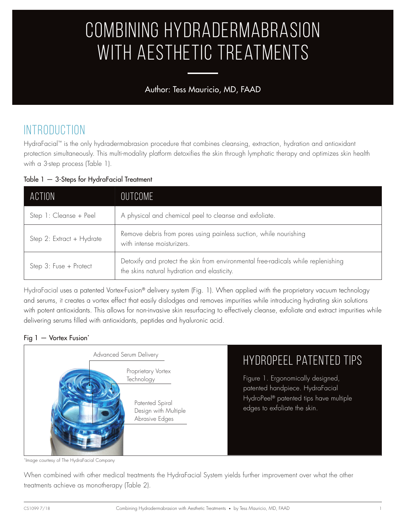# Combining Hydradermabrasion WITH AESTHETIC TREATMENTS

### Author: Tess Mauricio, MD, FAAD

# INTRODUCTION

HydraFacial™ is the only hydradermabrasion procedure that combines cleansing, extraction, hydration and antioxidant protection simultaneously. This multi-modality platform detoxifies the skin through lymphatic therapy and optimizes skin health with a 3-step process (Table 1).

Table 1 — 3-Steps for HydraFacial Treatment

| ACTION                    | OUTCOME                                                                                                                          |  |
|---------------------------|----------------------------------------------------------------------------------------------------------------------------------|--|
| Step 1: Cleanse + Peel    | A physical and chemical peel to cleanse and exfoliate.                                                                           |  |
| Step 2: Extract + Hydrate | Remove debris from pores using painless suction, while nourishing<br>with intense moisturizers.                                  |  |
| Step 3: Fuse + Protect    | Detoxify and protect the skin from environmental free-radicals while replenishing<br>the skins natural hydration and elasticity. |  |

HydraFacial uses a patented Vortex-Fusion® delivery system (Fig. 1). When applied with the proprietary vacuum technology and serums, it creates a vortex effect that easily dislodges and removes impurities while introducing hydrating skin solutions with potent antioxidants. This allows for non-invasive skin resurfacing to effectively cleanse, exfoliate and extract impurities while delivering serums filled with antioxidants, peptides and hyaluronic acid.

#### Fig 1 - Vortex Fusion\*



\*Image courtesy of The HydraFacial Company

When combined with other medical treatments the HydraFacial System yields further improvement over what the other treatments achieve as monotherapy (Table 2).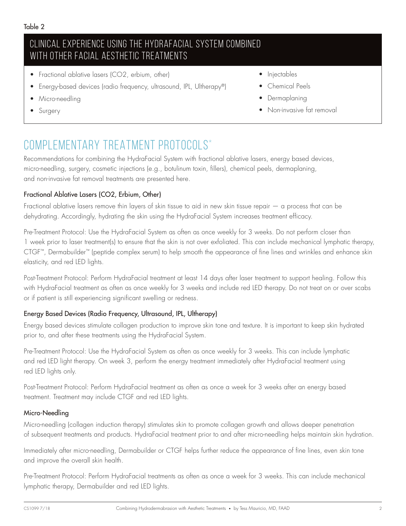### Clinical experience using the HydraFacial System combined with other facial aesthetic treatments

- Fractional ablative lasers (CO2, erbium, other)
- Energy-based devices (radio frequency, ultrasound, IPL, Ultherapy®)
- Micro-needling
- **Surgery**
- Injectables
- Chemical Peels
- Dermaplaning
- Non-invasive fat removal

## COMPLEMENTARY TREATMENT PROTOCOLS\*

Recommendations for combining the HydraFacial System with fractional ablative lasers, energy based devices, micro-needling, surgery, cosmetic injections (e.g., botulinum toxin, fillers), chemical peels, dermaplaning, and non-invasive fat removal treatments are presented here.

#### Fractional Ablative Lasers (CO2, Erbium, Other)

Fractional ablative lasers remove thin layers of skin tissue to aid in new skin tissue repair — a process that can be dehydrating. Accordingly, hydrating the skin using the HydraFacial System increases treatment efficacy.

Pre-Treatment Protocol: Use the HydraFacial System as often as once weekly for 3 weeks. Do not perform closer than 1 week prior to laser treatment(s) to ensure that the skin is not over exfoliated. This can include mechanical lymphatic therapy, CTGF™, Dermabuilder™ (peptide complex serum) to help smooth the appearance of fine lines and wrinkles and enhance skin elasticity, and red LED lights.

Post-Treatment Protocol: Perform HydraFacial treatment at least 14 days after laser treatment to support healing. Follow this with HydraFacial treatment as often as once weekly for 3 weeks and include red LED therapy. Do not treat on or over scabs or if patient is still experiencing significant swelling or redness.

#### Energy Based Devices (Radio Frequency, Ultrasound, IPL, Ultherapy)

Energy based devices stimulate collagen production to improve skin tone and texture. It is important to keep skin hydrated prior to, and after these treatments using the HydraFacial System.

Pre-Treatment Protocol: Use the HydraFacial System as often as once weekly for 3 weeks. This can include lymphatic and red LED light therapy. On week 3, perform the energy treatment immediately after HydraFacial treatment using red LED lights only.

Post-Treatment Protocol: Perform HydraFacial treatment as often as once a week for 3 weeks after an energy based treatment. Treatment may include CTGF and red LED lights.

#### Micro-Needling

Micro-needling (collagen induction therapy) stimulates skin to promote collagen growth and allows deeper penetration of subsequent treatments and products. HydraFacial treatment prior to and after micro-needling helps maintain skin hydration.

Immediately after micro-needling, Dermabuilder or CTGF helps further reduce the appearance of fine lines, even skin tone and improve the overall skin health.

Pre-Treatment Protocol: Perform HydraFacial treatments as often as once a week for 3 weeks. This can include mechanical lymphatic therapy, Dermabuilder and red LED lights.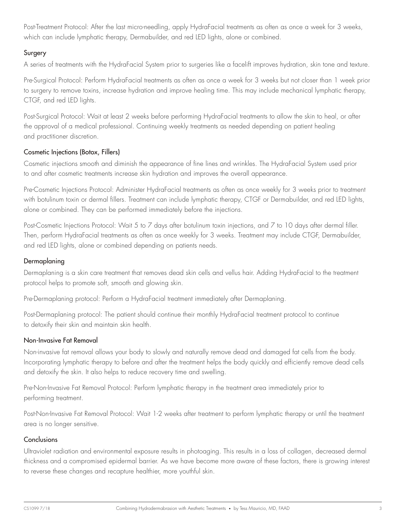Post-Treatment Protocol: After the last micro-needling, apply HydraFacial treatments as often as once a week for 3 weeks, which can include lymphatic therapy, Dermabuilder, and red LED lights, alone or combined.

#### Surgery

A series of treatments with the HydraFacial System prior to surgeries like a facelift improves hydration, skin tone and texture.

Pre-Surgical Protocol: Perform HydraFacial treatments as often as once a week for 3 weeks but not closer than 1 week prior to surgery to remove toxins, increase hydration and improve healing time. This may include mechanical lymphatic therapy, CTGF, and red LED lights.

Post-Surgical Protocol: Wait at least 2 weeks before performing HydraFacial treatments to allow the skin to heal, or after the approval of a medical professional. Continuing weekly treatments as needed depending on patient healing and practitioner discretion.

#### Cosmetic Injections (Botox, Fillers)

Cosmetic injections smooth and diminish the appearance of fine lines and wrinkles. The HydraFacial System used prior to and after cosmetic treatments increase skin hydration and improves the overall appearance.

Pre-Cosmetic Injections Protocol: Administer HydraFacial treatments as often as once weekly for 3 weeks prior to treatment with botulinum toxin or dermal fillers. Treatment can include lymphatic therapy, CTGF or Dermabuilder, and red LED lights, alone or combined. They can be performed immediately before the injections.

Post-Cosmetic Injections Protocol: Wait 5 to 7 days after botulinum toxin injections, and 7 to 10 days after dermal filler. Then, perform HydraFacial treatments as often as once weekly for 3 weeks. Treatment may include CTGF, Dermabuilder, and red LED lights, alone or combined depending on patients needs.

#### Dermaplaning

Dermaplaning is a skin care treatment that removes dead skin cells and vellus hair. Adding HydraFacial to the treatment protocol helps to promote soft, smooth and glowing skin.

Pre-Dermaplaning protocol: Perform a HydraFacial treatment immediately after Dermaplaning.

Post-Dermaplaning protocol: The patient should continue their monthly HydraFacial treatment protocol to continue to detoxify their skin and maintain skin health.

#### Non-Invasive Fat Removal

Non-invasive fat removal allows your body to slowly and naturally remove dead and damaged fat cells from the body. Incorporating lymphatic therapy to before and after the treatment helps the body quickly and efficiently remove dead cells and detoxify the skin. It also helps to reduce recovery time and swelling.

Pre-Non-Invasive Fat Removal Protocol: Perform lymphatic therapy in the treatment area immediately prior to performing treatment.

Post-Non-Invasive Fat Removal Protocol: Wait 1-2 weeks after treatment to perform lymphatic therapy or until the treatment area is no longer sensitive.

#### **Conclusions**

Ultraviolet radiation and environmental exposure results in photoaging. This results in a loss of collagen, decreased dermal thickness and a compromised epidermal barrier. As we have become more aware of these factors, there is growing interest to reverse these changes and recapture healthier, more youthful skin.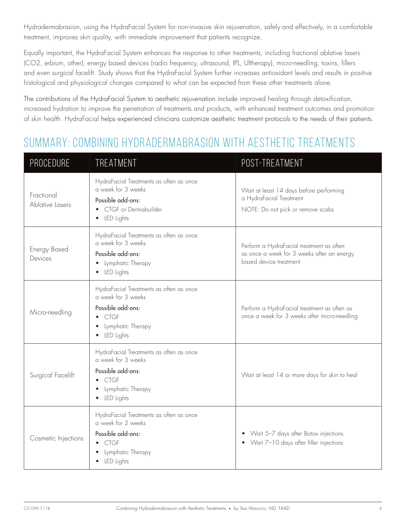Hydradermabrasion, using the HydraFacial System for non-invasive skin rejuvenation, safely and effectively, in a comfortable treatment, improves skin quality, with immediate improvement that patients recognize.

Equally important, the HydraFacial System enhances the response to other treatments, including fractional ablative lasers (CO2, erbium, other), energy based devices (radio frequency, ultrasound, IPL, Ultherapy), micro-needling, toxins, fillers and even surgical facelift. Study shows that the HydraFacial System further increases antioxidant levels and results in positive histological and physiological changes compared to what can be expected from these other treatments alone.

The contributions of the HydraFacial System to aesthetic rejuvenation include improved healing through detoxification, increased hydration to improve the penetration of treatments and products, with enhanced treatment outcomes and promotion of skin health. HydraFacial helps experienced clinicians customize aesthetic treatment protocols to the needs of their patients.

### Summary: Combining Hydradermabrasion with Aesthetic Treatments

| <b>PROCEDURE</b>               | TREATMENT                                                                                                                                                         | POST-TREATMENT                                                                                                   |
|--------------------------------|-------------------------------------------------------------------------------------------------------------------------------------------------------------------|------------------------------------------------------------------------------------------------------------------|
| Fractional<br>Ablative Lasers  | HydraFacial Treatments as often as once<br>a week for 3 weeks<br>Possible add-ons:<br>• CTGF or Dermabuilder<br>• LED Lights                                      | Wait at least 14 days before performing<br>a HydraFacial Treatment<br>NOTE: Do not pick or remove scabs          |
| <b>Energy Based</b><br>Devices | HydraFacial Treatments as often as once<br>a week for 3 weeks<br>Possible add-ons:<br>Lymphatic Therapy<br>$\bullet$<br>LED Lights<br>$\bullet$                   | Perform a HydraFacial treatment as often<br>as once a week for 3 weeks after an energy<br>based device treatment |
| Micro-needling                 | HydraFacial Treatments as often as once<br>a week for 3 weeks<br>Possible add-ons:<br>$\bullet$ CTGF<br>Lymphatic Therapy<br>$\bullet$<br>LED Lights<br>$\bullet$ | Perform a HydraFacial treatment as often as<br>once a week for 3 weeks after micro-needling                      |
| Surgical Facelift              | HydraFacial Treatments as often as once<br>a week for 3 weeks<br>Possible add-ons:<br>$\bullet$ CTGF<br>Lymphatic Therapy<br>$\bullet$<br>LED Lights<br>$\bullet$ | Wait at least 14 or more days for skin to heal                                                                   |
| Cosmetic Injections            | HydraFacial Treatments as often as once<br>a week for 3 weeks<br>Possible add-ons:<br>$\bullet$ CTGF<br>Lymphatic Therapy<br>LED Lights                           | • Wait 5-7 days after Botox injections<br>• Wait 7-10 days after filler injections                               |